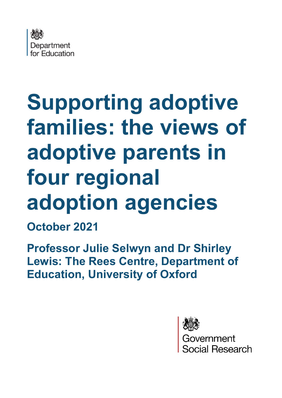

# **Supporting adoptive families: the views of adoptive parents in four regional adoption agencies**

**October 2021** 

**Professor Julie Selwyn and Dr Shirley Lewis: The Rees Centre, Department of Education, University of Oxford**



ernment ial Research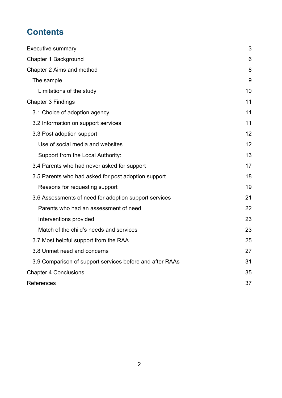# **Contents**

| <b>Executive summary</b>                                 | 3  |
|----------------------------------------------------------|----|
| Chapter 1 Background                                     | 6  |
| Chapter 2 Aims and method                                | 8  |
| The sample                                               | 9  |
| Limitations of the study                                 | 10 |
| <b>Chapter 3 Findings</b>                                | 11 |
| 3.1 Choice of adoption agency                            | 11 |
| 3.2 Information on support services                      | 11 |
| 3.3 Post adoption support                                | 12 |
| Use of social media and websites                         | 12 |
| Support from the Local Authority:                        | 13 |
| 3.4 Parents who had never asked for support              | 17 |
| 3.5 Parents who had asked for post adoption support      | 18 |
| Reasons for requesting support                           | 19 |
| 3.6 Assessments of need for adoption support services    | 21 |
| Parents who had an assessment of need                    | 22 |
| Interventions provided                                   | 23 |
| Match of the child's needs and services                  | 23 |
| 3.7 Most helpful support from the RAA                    | 25 |
| 3.8 Unmet need and concerns                              | 27 |
| 3.9 Comparison of support services before and after RAAs | 31 |
| <b>Chapter 4 Conclusions</b>                             | 35 |
| References                                               | 37 |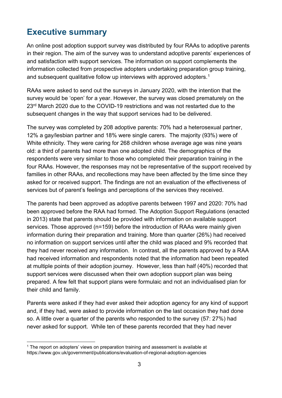# <span id="page-2-0"></span>**Executive summary**

An online post adoption support survey was distributed by four RAAs to adoptive parents in their region. The aim of the survey was to understand adoptive parents' experiences of and satisfaction with support services. The information on support complements the information collected from prospective adopters undertaking preparation group training, and subsequent qualitative follow up interviews with approved adopters. $^{\rm 1}$  $^{\rm 1}$  $^{\rm 1}$ 

RAAs were asked to send out the surveys in January 2020, with the intention that the survey would be 'open' for a year. However, the survey was closed prematurely on the 23<sup>rd</sup> March 2020 due to the COVID-19 restrictions and was not restarted due to the subsequent changes in the way that support services had to be delivered.

The survey was completed by 208 adoptive parents: 70% had a heterosexual partner, 12% a gay/lesbian partner and 18% were single carers. The majority (93%) were of White ethnicity. They were caring for 268 children whose average age was nine years old: a third of parents had more than one adopted child. The demographics of the respondents were very similar to those who completed their preparation training in the four RAAs. However, the responses may not be representative of the support received by families in other RAAs, and recollections may have been affected by the time since they asked for or received support. The findings are not an evaluation of the effectiveness of services but of parent's feelings and perceptions of the services they received.

The parents had been approved as adoptive parents between 1997 and 2020: 70% had been approved before the RAA had formed. The Adoption Support Regulations (enacted in 2013) state that parents should be provided with information on available support services. Those approved (n=159) before the introduction of RAAs were mainly given information during their preparation and training. More than quarter (26%) had received no information on support services until after the child was placed and 9% recorded that they had never received any information. In contrast, all the parents approved by a RAA had received information and respondents noted that the information had been repeated at multiple points of their adoption journey. However, less than half (40%) recorded that support services were discussed when their own adoption support plan was being prepared. A few felt that support plans were formulaic and not an individualised plan for their child and family.

Parents were asked if they had ever asked their adoption agency for any kind of support and, if they had, were asked to provide information on the last occasion they had done so. A little over a quarter of the parents who responded to the survey (57: 27%) had never asked for support. While ten of these parents recorded that they had never

<span id="page-2-1"></span> $1$  The report on adopters' views on preparation training and assessment is available at https://www.gov.uk/government/publications/evaluation-of-regional-adoption-agencies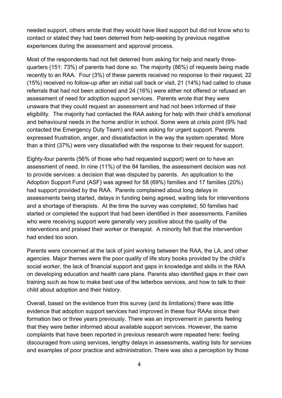needed support, others wrote that they would have liked support but did not know who to contact or stated they had been deterred from help-seeking by previous negative experiences during the assessment and approval process.

Most of the respondents had not felt deterred from asking for help and nearly threequarters (151: 73%) of parents had done so. The majority (86%) of requests being made recently to an RAA. Four (3%) of these parents received no response to their request, 22 (15%) received no follow-up after an initial call back or visit, 21 (14%) had called to chase referrals that had not been actioned and 24 (16%) were either not offered or refused an assessment of need for adoption support services. Parents wrote that they were unaware that they could request an assessment and had not been informed of their eligibility. The majority had contacted the RAA asking for help with their child's emotional and behavioural needs in the home and/or in school. Some were at crisis point (9% had contacted the Emergency Duty Team) and were asking for urgent support. Parents expressed frustration, anger, and dissatisfaction in the way the system operated. More than a third (37%) were very dissatisfied with the response to their request for support.

Eighty-four parents (56% of those who had requested support) went on to have an assessment of need. In nine (11%) of the 84 families, the assessment decision was not to provide services: a decision that was disputed by parents. An application to the Adoption Support Fund (ASF) was agreed for 58 (69%) families and 17 families (20%) had support provided by the RAA. Parents complained about long delays in assessments being started, delays in funding being agreed, waiting lists for interventions and a shortage of therapists. At the time the survey was completed, 50 families had started or completed the support that had been identified in their assessments. Families who were receiving support were generally very positive about the quality of the interventions and praised their worker or therapist. A minority felt that the intervention had ended too soon.

Parents were concerned at the lack of joint working between the RAA, the LA, and other agencies. Major themes were the poor quality of life story books provided by the child's social worker, the lack of financial support and gaps in knowledge and skills in the RAA on developing education and health care plans. Parents also identified gaps in their own training such as how to make best use of the letterbox services, and how to talk to their child about adoption and their history.

Overall, based on the evidence from this survey (and its limitations) there was little evidence that adoption support services had improved in these four RAAs since their formation two or three years previously. There was an improvement in parents feeling that they were better informed about available support services. However, the same complaints that have been reported in previous research were repeated here: feeling discouraged from using services, lengthy delays in assessments, waiting lists for services and examples of poor practice and administration. There was also a perception by those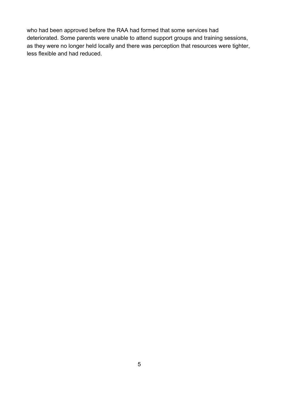who had been approved before the RAA had formed that some services had deteriorated. Some parents were unable to attend support groups and training sessions, as they were no longer held locally and there was perception that resources were tighter, less flexible and had reduced.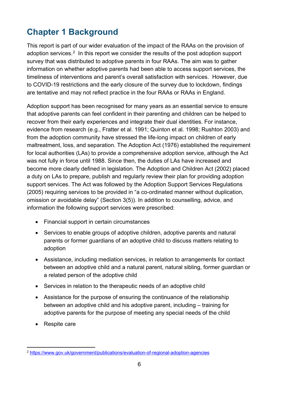# <span id="page-5-0"></span>**Chapter 1 Background**

This report is part of our wider evaluation of the impact of the RAAs on the provision of adoption services.<sup>[2](#page-5-1)</sup> In this report we consider the results of the post adoption support survey that was distributed to adoptive parents in four RAAs. The aim was to gather information on whether adoptive parents had been able to access support services, the timeliness of interventions and parent's overall satisfaction with services. However, due to COVID-19 restrictions and the early closure of the survey due to lockdown, findings are tentative and may not reflect practice in the four RAAs or RAAs in England.

Adoption support has been recognised for many years as an essential service to ensure that adoptive parents can feel confident in their parenting and children can be helped to recover from their early experiences and integrate their dual identities. For instance, evidence from research (e.g., Fratter et al. 1991; Quinton et al. 1998; Rushton 2003) and from the adoption community have stressed the life-long impact on children of early maltreatment, loss, and separation. The Adoption Act (1976) established the requirement for local authorities (LAs) to provide a comprehensive adoption service, although the Act was not fully in force until 1988. Since then, the duties of LAs have increased and become more clearly defined in legislation. The Adoption and Children Act (2002) placed a duty on LAs to prepare, publish and regularly review their plan for providing adoption support services. The Act was followed by the Adoption Support Services Regulations (2005) requiring services to be provided in "a co-ordinated manner without duplication, omission or avoidable delay" (Section 3(5)). In addition to counselling, advice, and information the following support services were prescribed:

- Financial support in certain circumstances
- Services to enable groups of adoptive children, adoptive parents and natural parents or former guardians of an adoptive child to discuss matters relating to adoption
- Assistance, including mediation services, in relation to arrangements for contact between an adoptive child and a natural parent, natural sibling, former guardian or a related person of the adoptive child
- Services in relation to the therapeutic needs of an adoptive child
- Assistance for the purpose of ensuring the continuance of the relationship between an adoptive child and his adoptive parent, including – training for adoptive parents for the purpose of meeting any special needs of the child
- Respite care

<span id="page-5-1"></span><sup>2</sup> <https://www.gov.uk/government/publications/evaluation-of-regional-adoption-agencies>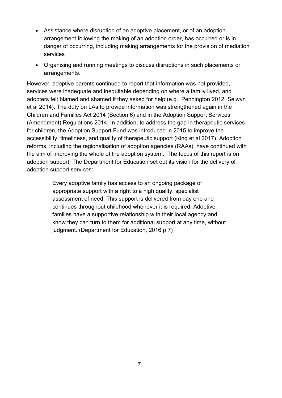- Assistance where disruption of an adoptive placement, or of an adoption arrangement following the making of an adoption order, has occurred or is in danger of occurring, including making arrangements for the provision of mediation services
- Organising and running meetings to discuss disruptions in such placements or arrangements.

However, adoptive parents continued to report that information was not provided, services were inadequate and inequitable depending on where a family lived, and adopters felt blamed and shamed if they asked for help (e.g., Pennington 2012, Selwyn et al 2014). The duty on LAs to provide information was strengthened again in the Children and Families Act 2014 (Section 6) and in the Adoption Support Services (Amendment) Regulations 2014. In addition, to address the gap in therapeutic services for children, the Adoption Support Fund was introduced in 2015 to improve the accessibility, timeliness, and quality of therapeutic support (King et al 2017). Adoption reforms, including the regionalisation of adoption agencies (RAAs), have continued with the aim of improving the whole of the adoption system. The focus of this report is on adoption support. The Department for Education set out its vision for the delivery of adoption support services:

> Every adoptive family has access to an ongoing package of appropriate support with a right to a high quality, specialist assessment of need. This support is delivered from day one and continues throughout childhood whenever it is required. Adoptive families have a supportive relationship with their local agency and know they can turn to them for additional support at any time, without judgment*.* (Department for Education, 2016 p 7)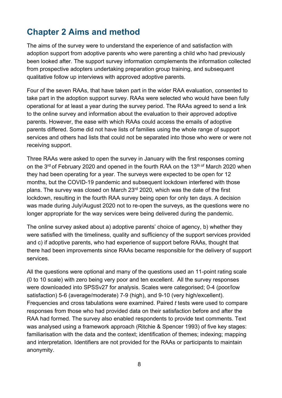# <span id="page-7-0"></span>**Chapter 2 Aims and method**

The aims of the survey were to understand the experience of and satisfaction with adoption support from adoptive parents who were parenting a child who had previously been looked after. The support survey information complements the information collected from prospective adopters undertaking preparation group training, and subsequent qualitative follow up interviews with approved adoptive parents.

Four of the seven RAAs, that have taken part in the wider RAA evaluation, consented to take part in the adoption support survey. RAAs were selected who would have been fully operational for at least a year during the survey period. The RAAs agreed to send a link to the online survey and information about the evaluation to their approved adoptive parents. However, the ease with which RAAs could access the emails of adoptive parents differed. Some did not have lists of families using the whole range of support services and others had lists that could not be separated into those who were or were not receiving support.

Three RAAs were asked to open the survey in January with the first responses coming on the  $3<sup>rd</sup>$  of February 2020 and opened in the fourth RAA on the 13<sup>th of</sup> March 2020 when they had been operating for a year. The surveys were expected to be open for 12 months, but the COVID-19 pandemic and subsequent lockdown interfered with those plans. The survey was closed on March 23<sup>rd</sup> 2020, which was the date of the first lockdown, resulting in the fourth RAA survey being open for only ten days. A decision was made during July/August 2020 not to re-open the surveys, as the questions were no longer appropriate for the way services were being delivered during the pandemic.

The online survey asked about a) adoptive parents' choice of agency, b) whether they were satisfied with the timeliness, quality and sufficiency of the support services provided and c) if adoptive parents, who had experience of support before RAAs, thought that there had been improvements since RAAs became responsible for the delivery of support services.

All the questions were optional and many of the questions used an 11-point rating scale (0 to 10 scale) with zero being very poor and ten excellent. All the survey responses were downloaded into SPSSv27 for analysis. Scales were categorised; 0-4 (poor/low satisfaction) 5-6 (average/moderate) 7-9 (high), and 9-10 (very high/excellent). Frequencies and cross tabulations were examined. Paired *t* tests were used to compare responses from those who had provided data on their satisfaction before and after the RAA had formed. The survey also enabled respondents to provide text comments. Text was analysed using a framework approach (Ritchie & Spencer 1993) of five key stages: familiarisation with the data and the context; identification of themes; indexing; mapping and interpretation. Identifiers are not provided for the RAAs or participants to maintain anonymity.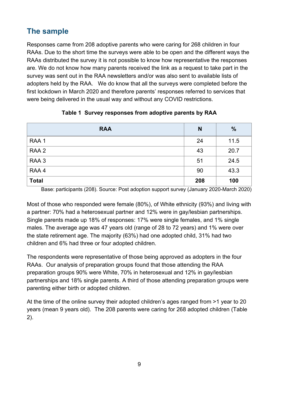## <span id="page-8-0"></span>**The sample**

Responses came from 208 adoptive parents who were caring for 268 children in four RAAs. Due to the short time the surveys were able to be open and the different ways the RAAs distributed the survey it is not possible to know how representative the responses are. We do not know how many parents received the link as a request to take part in the survey was sent out in the RAA newsletters and/or was also sent to available lists of adopters held by the RAA. We do know that all the surveys were completed before the first lockdown in March 2020 and therefore parents' responses referred to services that were being delivered in the usual way and without any COVID restrictions.

| <b>RAA</b>   | N   | $\frac{0}{0}$ |
|--------------|-----|---------------|
| RAA 1        | 24  | 11.5          |
| RAA 2        | 43  | 20.7          |
| RAA 3        | 51  | 24.5          |
| RAA4         | 90  | 43.3          |
| <b>Total</b> | 208 | 100           |

## **Table 1 Survey responses from adoptive parents by RAA**

Base: participants (208). Source: Post adoption support survey (January 2020-March 2020)

Most of those who responded were female (80%), of White ethnicity (93%) and living with a partner: 70% had a heterosexual partner and 12% were in gay/lesbian partnerships. Single parents made up 18% of responses: 17% were single females, and 1% single males. The average age was 47 years old (range of 28 to 72 years) and 1% were over the state retirement age. The majority (63%) had one adopted child, 31% had two children and 6% had three or four adopted children.

The respondents were representative of those being approved as adopters in the four RAAs. Our analysis of preparation groups found that those attending the RAA preparation groups 90% were White, 70% in heterosexual and 12% in gay/lesbian partnerships and 18% single parents. A third of those attending preparation groups were parenting either birth or adopted children.

At the time of the online survey their adopted children's ages ranged from >1 year to 20 years (mean 9 years old). The 208 parents were caring for 268 adopted children (Table 2).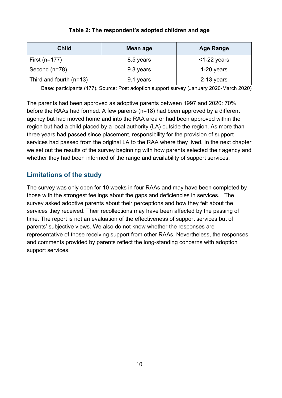| <b>Child</b>              | Mean age  | <b>Age Range</b> |  |
|---------------------------|-----------|------------------|--|
| First (n=177)             | 8.5 years | $<$ 1-22 years   |  |
| Second (n=78)             | 9.3 years | $1-20$ years     |  |
| Third and fourth $(n=13)$ | 9.1 years | 2-13 years       |  |

#### **Table 2: The respondent's adopted children and age**

Base: participants (177). Source: Post adoption support survey (January 2020-March 2020)

The parents had been approved as adoptive parents between 1997 and 2020: 70% before the RAAs had formed. A few parents (n=18) had been approved by a different agency but had moved home and into the RAA area or had been approved within the region but had a child placed by a local authority (LA) outside the region. As more than three years had passed since placement, responsibility for the provision of support services had passed from the original LA to the RAA where they lived. In the next chapter we set out the results of the survey beginning with how parents selected their agency and whether they had been informed of the range and availability of support services.

## <span id="page-9-0"></span>**Limitations of the study**

The survey was only open for 10 weeks in four RAAs and may have been completed by those with the strongest feelings about the gaps and deficiencies in services. The survey asked adoptive parents about their perceptions and how they felt about the services they received. Their recollections may have been affected by the passing of time. The report is not an evaluation of the effectiveness of support services but of parents' subjective views. We also do not know whether the responses are representative of those receiving support from other RAAs. Nevertheless, the responses and comments provided by parents reflect the long-standing concerns with adoption support services.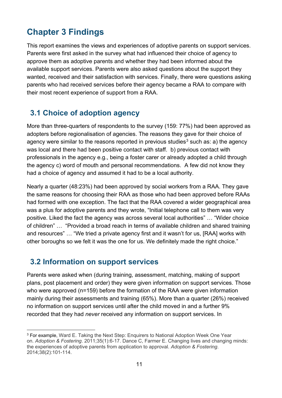# <span id="page-10-0"></span>**Chapter 3 Findings**

This report examines the views and experiences of adoptive parents on support services. Parents were first asked in the survey what had influenced their choice of agency to approve them as adoptive parents and whether they had been informed about the available support services. Parents were also asked questions about the support they wanted, received and their satisfaction with services. Finally, there were questions asking parents who had received services before their agency became a RAA to compare with their most recent experience of support from a RAA.

## <span id="page-10-1"></span>**3.1 Choice of adoption agency**

More than three-quarters of respondents to the survey (159: 77%) had been approved as adopters before regionalisation of agencies. The reasons they gave for their choice of agency were similar to the reasons reported in previous studies<sup>[3](#page-10-3)</sup> such as: a) the agency was local and there had been positive contact with staff. b) previous contact with professionals in the agency e.g., being a foster carer or already adopted a child through the agency c) word of mouth and personal recommendations. A few did not know they had a choice of agency and assumed it had to be a local authority.

Nearly a quarter (48:23%) had been approved by social workers from a RAA. They gave the same reasons for choosing their RAA as those who had been approved before RAAs had formed with one exception. The fact that the RAA covered a wider geographical area was a plus for adoptive parents and they wrote, "Initial telephone call to them was very positive. Liked the fact the agency was across several local authorities" … "Wider choice of children" … "Provided a broad reach in terms of available children and shared training and resources" … "We tried a private agency first and it wasn't for us, [RAA] works with other boroughs so we felt it was the one for us. We definitely made the right choice."

## <span id="page-10-2"></span>**3.2 Information on support services**

Parents were asked when (during training, assessment, matching, making of support plans, post placement and order) they were given information on support services. Those who were approved (n=159) before the formation of the RAA were given information mainly during their assessments and training (65%). More than a quarter (26%) received no information on support services until after the child moved in and a further 9% recorded that they had *never* received any information on support services. In

<span id="page-10-3"></span><sup>3</sup> For example, Ward E. Taking the Next Step: Enquirers to National Adoption Week One Year on. *Adoption & Fostering*. 2011;35(1):6-17. Dance C, Farmer E. Changing lives and changing minds: the experiences of adoptive parents from application to approval. *Adoption & Fostering*. 2014;38(2):101-114.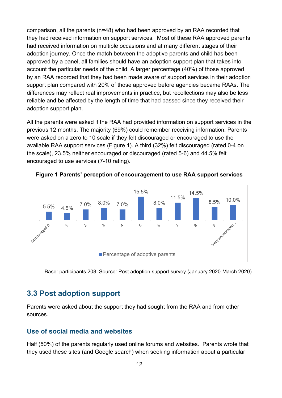comparison, all the parents (n=48) who had been approved by an RAA recorded that they had received information on support services. Most of these RAA approved parents had received information on multiple occasions and at many different stages of their adoption journey. Once the match between the adoptive parents and child has been approved by a panel, all families should have an adoption support plan that takes into account the particular needs of the child. A larger percentage (40%) of those approved by an RAA recorded that they had been made aware of support services in their adoption support plan compared with 20% of those approved before agencies became RAAs. The differences may reflect real improvements in practice, but recollections may also be less reliable and be affected by the length of time that had passed since they received their adoption support plan.

All the parents were asked if the RAA had provided information on support services in the previous 12 months. The majority (69%) could remember receiving information. Parents were asked on a zero to 10 scale if they felt discouraged or encouraged to use the available RAA support services (Figure 1). A third (32%) felt discouraged (rated 0-4 on the scale), 23.5% neither encouraged or discouraged (rated 5-6) and 44.5% felt encouraged to use services (7-10 rating).



<span id="page-11-2"></span>**Figure 1 Parents' perception of encouragement to use RAA support services**

Base: participants 208. Source: Post adoption support survey (January 2020-March 2020)

## <span id="page-11-0"></span>**3.3 Post adoption support**

Parents were asked about the support they had sought from the RAA and from other sources.

### <span id="page-11-1"></span>**Use of social media and websites**

Half (50%) of the parents regularly used online forums and websites. Parents wrote that they used these sites (and Google search) when seeking information about a particular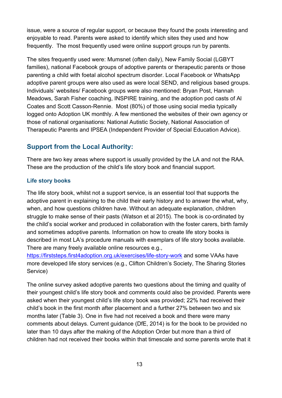issue, were a source of regular support, or because they found the posts interesting and enjoyable to read. Parents were asked to identify which sites they used and how frequently. The most frequently used were online support groups run by parents.

The sites frequently used were: Mumsnet (often daily), New Family Social (LGBYT families), national Facebook groups of adoptive parents or therapeutic parents or those parenting a child with foetal alcohol spectrum disorder. Local Facebook or WhatsApp adoptive parent groups were also used as were local SEND, and religious based groups. Individuals' websites/ Facebook groups were also mentioned: Bryan Post, Hannah Meadows, Sarah Fisher coaching, INSPIRE training, and the adoption pod casts of Al Coates and Scott Casson-Rennie. Most (80%) of those using social media typically logged onto Adoption UK monthly. A few mentioned the websites of their own agency or those of national organisations: National Autistic Society, National Association of Therapeutic Parents and IPSEA (Independent Provider of Special Education Advice).

## <span id="page-12-0"></span>**Support from the Local Authority:**

There are two key areas where support is usually provided by the LA and not the RAA. These are the production of the child's life story book and financial support.

#### **Life story books**

The life story book, whilst not a support service, is an essential tool that supports the adoptive parent in explaining to the child their early history and to answer the what, why, when, and how questions children have. Without an adequate explanation, children struggle to make sense of their pasts (Watson et al 2015). The book is co-ordinated by the child's social worker and produced in collaboration with the foster carers, birth family and sometimes adoptive parents. Information on how to create life story books is described in most LA's procedure manuals with exemplars of life story books available. There are many freely available online resources e.g.,

<https://firststeps.first4adoption.org.uk/exercises/life-story-work> and some VAAs have more developed life story services (e.g., Clifton Children's Society, The Sharing Stories Service)

The online survey asked adoptive parents two questions about the timing and quality of their youngest child's life story book and comments could also be provided. Parents were asked when their youngest child's life story book was provided; 22% had received their child's book in the first month after placement and a further 27% between two and six months later (Table 3). One in five had not received a book and there were many comments about delays. Current guidance (DfE, 2014) is for the book to be provided no later than 10 days after the making of the Adoption Order but more than a third of children had not received their books within that timescale and some parents wrote that it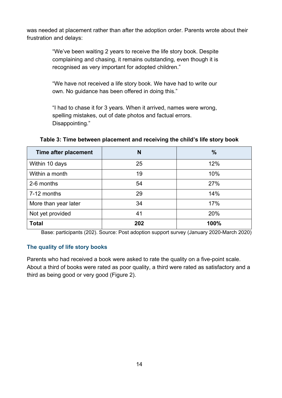was needed at placement rather than after the adoption order. Parents wrote about their frustration and delays:

> "We've been waiting 2 years to receive the life story book. Despite complaining and chasing, it remains outstanding, even though it is recognised as very important for adopted children."

"We have not received a life story book. We have had to write our own. No guidance has been offered in doing this."

"I had to chase it for 3 years. When it arrived, names were wrong, spelling mistakes, out of date photos and factual errors. Disappointing."

| Time after placement | N   | $\frac{0}{0}$ |
|----------------------|-----|---------------|
| Within 10 days       | 25  | 12%           |
| Within a month       | 19  | 10%           |
| 2-6 months           | 54  | 27%           |
| 7-12 months          | 29  | 14%           |
| More than year later | 34  | 17%           |
| Not yet provided     | 41  | 20%           |
| <b>Total</b>         | 202 | 100%          |

**Table 3: Time between placement and receiving the child's life story book**

Base: participants (202). Source: Post adoption support survey (January 2020-March 2020)

#### **The quality of life story books**

Parents who had received a book were asked to rate the quality on a five-point scale. About a third of books were rated as poor quality, a third were rated as satisfactory and a third as being good or very good (Figure 2).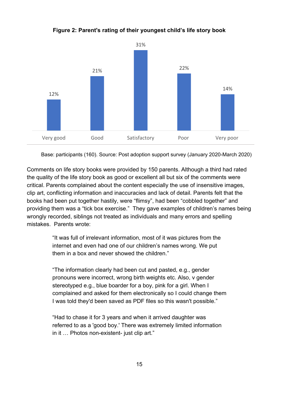

**Figure 2: Parent's rating of their youngest child's life story book**

Base: participants (160). Source: Post adoption support survey (January 2020-March 2020)

Comments on life story books were provided by 150 parents. Although a third had rated the quality of the life story book as good or excellent all but six of the comments were critical. Parents complained about the content especially the use of insensitive images, clip art, conflicting information and inaccuracies and lack of detail. Parents felt that the books had been put together hastily, were "flimsy", had been "cobbled together" and providing them was a "tick box exercise." They gave examples of children's names being wrongly recorded, siblings not treated as individuals and many errors and spelling mistakes. Parents wrote:

> "It was full of irrelevant information, most of it was pictures from the internet and even had one of our children's names wrong. We put them in a box and never showed the children."

"The information clearly had been cut and pasted, e.g., gender pronouns were incorrect, wrong birth weights etc. Also, v gender stereotyped e.g., blue boarder for a boy, pink for a girl. When I complained and asked for them electronically so I could change them I was told they'd been saved as PDF files so this wasn't possible."

"Had to chase it for 3 years and when it arrived daughter was referred to as a 'good boy.' There was extremely limited information in it … Photos non-existent- just clip art."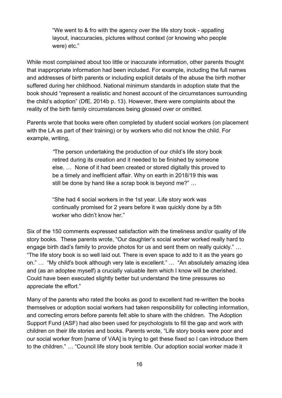"We went to & fro with the agency over the life story book - appalling layout, inaccuracies, pictures without context (or knowing who people were) etc."

While most complained about too little or inaccurate information, other parents thought that inappropriate information had been included. For example, including the full names and addresses of birth parents or including explicit details of the abuse the birth mother suffered during her childhood. National minimum standards in adoption state that the book should "represent a realistic and honest account of the circumstances surrounding the child's adoption" (DfE, 2014b p. 13). However, there were complaints about the reality of the birth family circumstances being glossed over or omitted.

Parents wrote that books were often completed by student social workers (on placement with the LA as part of their training) or by workers who did not know the child. For example, writing,

> *"*The person undertaking the production of our child's life story book retired during its creation and it needed to be finished by someone else. … None of it had been created or stored digitally this proved to be a timely and inefficient affair. Why on earth in 2018/19 this was still be done by hand like a scrap book is beyond me?" …

"She had 4 social workers in the 1st year. Life story work was continually promised for 2 years before it was quickly done by a 5th worker who didn't know her."

Six of the 150 comments expressed satisfaction with the timeliness and/or quality of life story books. These parents wrote, "Our daughter's social worker worked really hard to engage birth dad's family to provide photos for us and sent them on really quickly." … "The life story book is so well laid out. There is even space to add to it as the years go on." … "My child's book although very late is excellent." … "An absolutely amazing idea and (as an adoptee myself) a crucially valuable item which I know will be cherished. Could have been executed slightly better but understand the time pressures so appreciate the effort."

Many of the parents who rated the books as good to excellent had re-written the books themselves or adoption social workers had taken responsibility for collecting information, and correcting errors before parents felt able to share with the children. The Adoption Support Fund (ASF) had also been used for psychologists to fill the gap and work with children on their life stories and books. Parents wrote, "Life story books were poor and our social worker from [name of VAA] is trying to get these fixed so I can introduce them to the children." … "Council life story book terrible. Our adoption social worker made it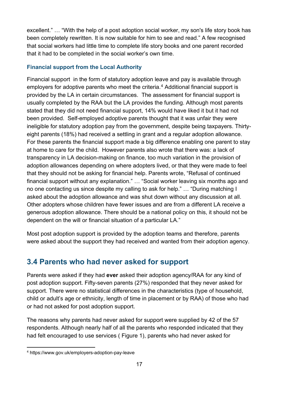excellent." … "With the help of a post adoption social worker, my son's life story book has been completely rewritten. It is now suitable for him to see and read." A few recognised that social workers had little time to complete life story books and one parent recorded that it had to be completed in the social worker's own time.

### **Financial support from the Local Authority**

Financial support in the form of statutory adoption leave and pay is available through employers for adoptive parents who meet the criteria.<sup>[4](#page-16-1)</sup> Additional financial support is provided by the LA in certain circumstances. The assessment for financial support is usually completed by the RAA but the LA provides the funding. Although most parents stated that they did not need financial support, 14% would have liked it but it had not been provided. Self-employed adoptive parents thought that it was unfair they were ineligible for statutory adoption pay from the government, despite being taxpayers. Thirtyeight parents (18%) had received a settling in grant and a regular adoption allowance. For these parents the financial support made a big difference enabling one parent to stay at home to care for the child. However parents also wrote that there was: a lack of transparency in LA decision-making on finance, too much variation in the provision of adoption allowances depending on where adopters lived, or that they were made to feel that they should not be asking for financial help. Parents wrote, "Refusal of continued financial support without any explanation." … "Social worker leaving six months ago and no one contacting us since despite my calling to ask for help." … "During matching I asked about the adoption allowance and was shut down without any discussion at all. Other adopters whose children have fewer issues and are from a different LA receive a generous adoption allowance. There should be a national policy on this, it should not be dependent on the will or financial situation of a particular LA."

Most post adoption support is provided by the adoption teams and therefore, parents were asked about the support they had received and wanted from their adoption agency.

## <span id="page-16-0"></span>**3.4 Parents who had never asked for support**

Parents were asked if they had **ever** asked their adoption agency/RAA for any kind of post adoption support. Fifty-seven parents (27%) responded that they never asked for support. There were no statistical differences in the characteristics (type of household, child or adult's age or ethnicity, length of time in placement or by RAA) of those who had or had not asked for post adoption support.

The reasons why parents had never asked for support were supplied by 42 of the 57 respondents. Although nearly half of all the parents who responded indicated that they had felt encouraged to use services ( [Figure 1\)](#page-11-2), parents who had never asked for

<span id="page-16-1"></span><sup>4</sup> https://www.gov.uk/employers-adoption-pay-leave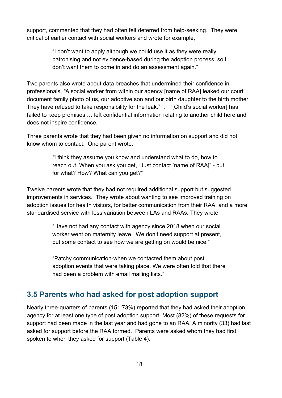support, commented that they had often felt deterred from help-seeking. They were critical of earlier contact with social workers and wrote for example,

> "I don't want to apply although we could use it as they were really patronising and not evidence-based during the adoption process, so I don't want them to come in and do an assessment again."

Two parents also wrote about data breaches that undermined their confidence in professionals, *"*A social worker from within our agency [name of RAA] leaked our court document family photo of us, our adoptive son and our birth daughter to the birth mother. They have refused to take responsibility for the leak." … "[Child's social worker] has failed to keep promises … left confidential information relating to another child here and does not inspire confidence."

Three parents wrote that they had been given no information on support and did not know whom to contact. One parent wrote:

> *"*I think they assume you know and understand what to do, how to reach out. When you ask you get, "Just contact [name of RAA]" - but for what? How? What can you get?"

Twelve parents wrote that they had not required additional support but suggested improvements in services. They wrote about wanting to see improved training on adoption issues for health visitors, for better communication from their RAA, and a more standardised service with less variation between LAs and RAAs. They wrote:

> "Have not had any contact with agency since 2018 when our social worker went on maternity leave. We don't need support at present, but some contact to see how we are getting on would be nice."

"Patchy communication-when we contacted them about post adoption events that were taking place. We were often told that there had been a problem with email mailing lists."

## <span id="page-17-0"></span>**3.5 Parents who had asked for post adoption support**

Nearly three-quarters of parents (151:73%) reported that they had asked their adoption agency for at least one type of post adoption support. Most (82%) of these requests for support had been made in the last year and had gone to an RAA. A minority (33) had last asked for support before the RAA formed. Parents were asked whom they had first spoken to when they asked for support (Table 4).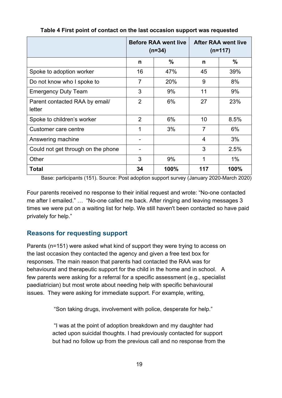|                                          | <b>Before RAA went live</b><br>$(n=34)$ |      | <b>After RAA went live</b><br>$(n=117)$ |       |
|------------------------------------------|-----------------------------------------|------|-----------------------------------------|-------|
|                                          | n                                       | $\%$ | n                                       | $\%$  |
| Spoke to adoption worker                 | 16                                      | 47%  | 45                                      | 39%   |
| Do not know who I spoke to               | $\overline{7}$                          | 20%  | 9                                       | 8%    |
| <b>Emergency Duty Team</b>               | 3                                       | 9%   | 11                                      | 9%    |
| Parent contacted RAA by email/<br>letter | $\overline{2}$                          | 6%   | 27                                      | 23%   |
| Spoke to children's worker               | $\overline{2}$                          | 6%   | 10                                      | 8.5%  |
| Customer care centre                     | 1                                       | 3%   | $\overline{7}$                          | 6%    |
| Answering machine                        |                                         |      | 4                                       | 3%    |
| Could not get through on the phone       |                                         |      | 3                                       | 2.5%  |
| Other                                    | 3                                       | 9%   | 1                                       | $1\%$ |
| <b>Total</b>                             | 34                                      | 100% | 117                                     | 100%  |

**Table 4 First point of contact on the last occasion support was requested**

Base: participants (151). Source: Post adoption support survey (January 2020-March 2020)

Four parents received no response to their initial request and wrote: "No-one contacted me after I emailed." … "No-one called me back. After ringing and leaving messages 3 times we were put on a waiting list for help. We still haven't been contacted so have paid privately for help."

## <span id="page-18-0"></span>**Reasons for requesting support**

Parents (n=151) were asked what kind of support they were trying to access on the last occasion they contacted the agency and given a free text box for responses. The main reason that parents had contacted the RAA was for behavioural and therapeutic support for the child in the home and in school. A few parents were asking for a referral for a specific assessment (e.g., specialist paediatrician) but most wrote about needing help with specific behavioural issues. They were asking for immediate support. For example, writing,

"Son taking drugs, involvement with police, desperate for help."

"I was at the point of adoption breakdown and my daughter had acted upon suicidal thoughts. I had previously contacted for support but had no follow up from the previous call and no response from the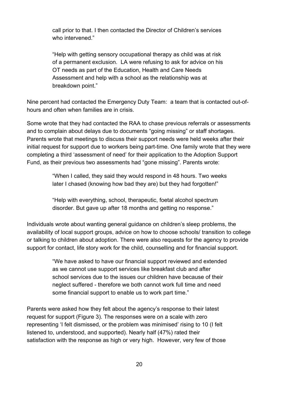call prior to that. I then contacted the Director of Children's services who intervened."

"Help with getting sensory occupational therapy as child was at risk of a permanent exclusion. LA were refusing to ask for advice on his OT needs as part of the Education, Health and Care Needs Assessment and help with a school as the relationship was at breakdown point."

Nine percent had contacted the Emergency Duty Team: a team that is contacted out-ofhours and often when families are in crisis.

Some wrote that they had contacted the RAA to chase previous referrals or assessments and to complain about delays due to documents "going missing" or staff shortages. Parents wrote that meetings to discuss their support needs were held weeks after their initial request for support due to workers being part-time. One family wrote that they were completing a third 'assessment of need' for their application to the Adoption Support Fund, as their previous two assessments had "gone missing". Parents wrote:

> "When I called, they said they would respond in 48 hours. Two weeks later I chased (knowing how bad they are) but they had forgotten!"

"Help with everything, school, therapeutic, foetal alcohol spectrum disorder. But gave up after 18 months and getting no response."

Individuals wrote about wanting general guidance on children's sleep problems, the availability of local support groups, advice on how to choose schools/ transition to college or talking to children about adoption. There were also requests for the agency to provide support for contact, life story work for the child, counselling and for financial support.

> "We have asked to have our financial support reviewed and extended as we cannot use support services like breakfast club and after school services due to the issues our children have because of their neglect suffered - therefore we both cannot work full time and need some financial support to enable us to work part time."

Parents were asked how they felt about the agency's response to their latest request for support (Figure 3). The responses were on a scale with zero representing 'I felt dismissed, or the problem was minimised' rising to 10 (I felt listened to, understood, and supported). Nearly half (47%) rated their satisfaction with the response as high or very high. However, very few of those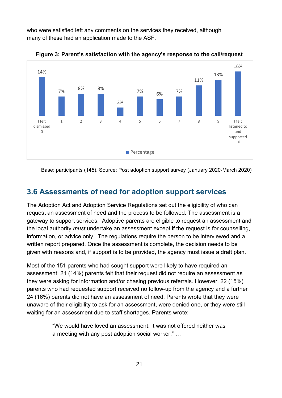who were satisfied left any comments on the services they received, although many of these had an application made to the ASF.



**Figure 3: Parent's satisfaction with the agency's response to the call/request** 

Base: participants (145). Source: Post adoption support survey (January 2020-March 2020)

## <span id="page-20-0"></span>**3.6 Assessments of need for adoption support services**

The Adoption Act and Adoption Service Regulations set out the eligibility of who can request an assessment of need and the process to be followed. The assessment is a gateway to support services. Adoptive parents are eligible to request an assessment and the local authority *must* undertake an assessment except if the request is for counselling, information, or advice only. The regulations require the person to be interviewed and a written report prepared. Once the assessment is complete, the decision needs to be given with reasons and, if support is to be provided, the agency must issue a draft plan.

Most of the 151 parents who had sought support were likely to have required an assessment: 21 (14%) parents felt that their request did not require an assessment as they were asking for information and/or chasing previous referrals. However, 22 (15%) parents who had requested support received no follow-up from the agency and a further 24 (16%) parents did not have an assessment of need. Parents wrote that they were unaware of their eligibility to ask for an assessment, were denied one, or they were still waiting for an assessment due to staff shortages. Parents wrote:

> "We would have loved an assessment. It was not offered neither was a meeting with any post adoption social worker." …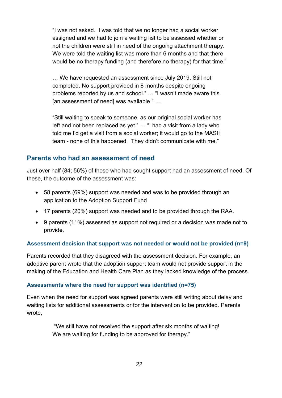"I was not asked. I was told that we no longer had a social worker assigned and we had to join a waiting list to be assessed whether or not the children were still in need of the ongoing attachment therapy. We were told the waiting list was more than 6 months and that there would be no therapy funding (and therefore no therapy) for that time."

… We have requested an assessment since July 2019. Still not completed. No support provided in 8 months despite ongoing problems reported by us and school." … "I wasn't made aware this [an assessment of need] was available." …

"Still waiting to speak to someone, as our original social worker has left and not been replaced as yet." … "I had a visit from a lady who told me I'd get a visit from a social worker; it would go to the MASH team - none of this happened. They didn't communicate with me."

## <span id="page-21-0"></span>**Parents who had an assessment of need**

Just over half (84; 56%) of those who had sought support had an assessment of need. Of these, the outcome of the assessment was:

- 58 parents (69%) support was needed and was to be provided through an application to the Adoption Support Fund
- 17 parents (20%) support was needed and to be provided through the RAA.
- 9 parents (11%) assessed as support not required or a decision was made not to provide.

## **Assessment decision that support was not needed or would not be provided (n=9)**

Parents recorded that they disagreed with the assessment decision. For example, an adoptive parent wrote that the adoption support team would not provide support in the making of the Education and Health Care Plan as they lacked knowledge of the process.

#### **Assessments where the need for support was identified (n=75)**

Even when the need for support was agreed parents were still writing about delay and waiting lists for additional assessments or for the intervention to be provided. Parents wrote,

> "We still have not received the support after six months of waiting! We are waiting for funding to be approved for therapy."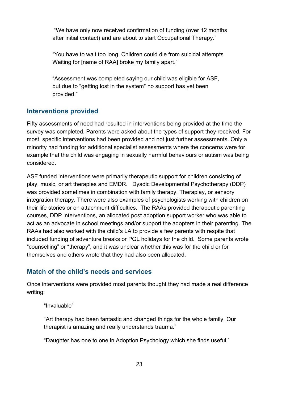"We have only now received confirmation of funding (over 12 months after initial contact) and are about to start Occupational Therapy."

"You have to wait too long. Children could die from suicidal attempts Waiting for [name of RAA] broke my family apart."

"Assessment was completed saying our child was eligible for ASF, but due to "getting lost in the system" no support has yet been provided."

## <span id="page-22-0"></span>**Interventions provided**

Fifty assessments of need had resulted in interventions being provided at the time the survey was completed. Parents were asked about the types of support they received. For most, specific interventions had been provided and not just further assessments. Only a minority had funding for additional specialist assessments where the concerns were for example that the child was engaging in sexually harmful behaviours or autism was being considered.

ASF funded interventions were primarily therapeutic support for children consisting of play, music, or art therapies and EMDR. Dyadic Developmental Psychotherapy (DDP) was provided sometimes in combination with family therapy, Theraplay, or sensory integration therapy. There were also examples of psychologists working with children on their life stories or on attachment difficulties. The RAAs provided therapeutic parenting courses, DDP interventions, an allocated post adoption support worker who was able to act as an advocate in school meetings and/or support the adopters in their parenting. The RAAs had also worked with the child's LA to provide a few parents with respite that included funding of adventure breaks or PGL holidays for the child. Some parents wrote "counselling" or "therapy", and it was unclear whether this was for the child or for themselves and others wrote that they had also been allocated.

## <span id="page-22-1"></span>**Match of the child's needs and services**

Once interventions were provided most parents thought they had made a real difference writing:

"Invaluable"

"Art therapy had been fantastic and changed things for the whole family. Our therapist is amazing and really understands trauma."

"Daughter has one to one in Adoption Psychology which she finds useful."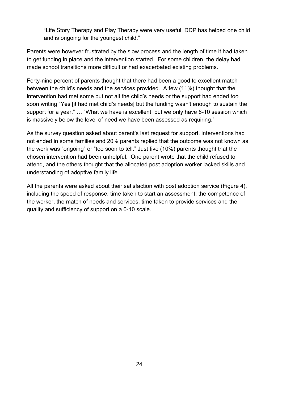"Life Story Therapy and Play Therapy were very useful. DDP has helped one child and is ongoing for the youngest child."

Parents were however frustrated by the slow process and the length of time it had taken to get funding in place and the intervention started. For some children, the delay had made school transitions more difficult or had exacerbated existing problems.

Forty-nine percent of parents thought that there had been a good to excellent match between the child's needs and the services provided. A few (11%) thought that the intervention had met some but not all the child's needs or the support had ended too soon writing "Yes [it had met child's needs] but the funding wasn't enough to sustain the support for a year." … "What we have is excellent, but we only have 8-10 session which is massively below the level of need we have been assessed as requiring."

As the survey question asked about parent's last request for support, interventions had not ended in some families and 20% parents replied that the outcome was not known as the work was "ongoing" or "too soon to tell." Just five (10%) parents thought that the chosen intervention had been unhelpful. One parent wrote that the child refused to attend, and the others thought that the allocated post adoption worker lacked skills and understanding of adoptive family life.

All the parents were asked about their satisfaction with post adoption service (Figure 4), including the speed of response, time taken to start an assessment, the competence of the worker, the match of needs and services, time taken to provide services and the quality and sufficiency of support on a 0-10 scale.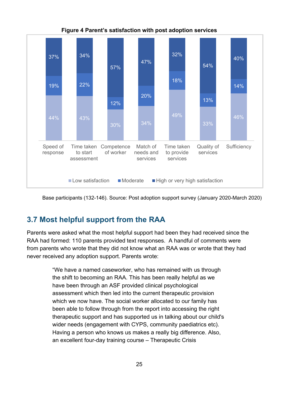

**Figure 4 Parent's satisfaction with post adoption services**

Base participants (132-146). Source: Post adoption support survey (January 2020-March 2020)

# <span id="page-24-0"></span>**3.7 Most helpful support from the RAA**

Parents were asked what the most helpful support had been they had received since the RAA had formed: 110 parents provided text responses. A handful of comments were from parents who wrote that they did not know what an RAA was or wrote that they had never received any adoption support. Parents wrote:

> "We have a named caseworker, who has remained with us through the shift to becoming an RAA. This has been really helpful as we have been through an ASF provided clinical psychological assessment which then led into the current therapeutic provision which we now have. The social worker allocated to our family has been able to follow through from the report into accessing the right therapeutic support and has supported us in talking about our child's wider needs (engagement with CYPS, community paediatrics etc). Having a person who knows us makes a really big difference. Also, an excellent four-day training course – Therapeutic Crisis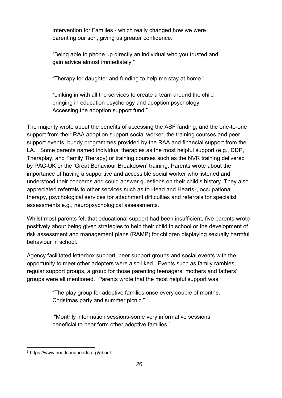Intervention for Families - which really changed how we were parenting our son, giving us greater confidence."

"Being able to phone up directly an individual who you trusted and gain advice almost immediately."

"Therapy for daughter and funding to help me stay at home."

"Linking in with all the services to create a team around the child bringing in education psychology and adoption psychology. Accessing the adoption support fund."

The majority wrote about the benefits of accessing the ASF funding, and the one-to-one support from their RAA adoption support social worker, the training courses and peer support events, buddy programmes provided by the RAA and financial support from the LA. Some parents named individual therapies as the most helpful support (e.g., DDP, Theraplay, and Family Therapy) or training courses such as the NVR training delivered by PAC-UK or the 'Great Behaviour Breakdown' training. Parents wrote about the importance of having a supportive and accessible social worker who listened and understood their concerns and could answer questions on their child's history. They also appreciated referrals to other services such as to Head and Hearts<sup>[5](#page-25-0)</sup>, occupational therapy, psychological services for attachment difficulties and referrals for specialist assessments e.g., neuropsychological assessments.

Whilst most parents felt that educational support had been insufficient, five parents wrote positively about being given strategies to help their child in school or the development of risk assessment and management plans (RAMP) for children displaying sexually harmful behaviour in school.

Agency facilitated letterbox support, peer support groups and social events with the opportunity to meet other adopters were also liked. Events such as family rambles, regular support groups, a group for those parenting teenagers, mothers and fathers' groups were all mentioned. Parents wrote that the most helpful support was:

> "The play group for adoptive families once every couple of months. Christmas party and summer picnic." …

"Monthly information sessions-some very informative sessions, beneficial to hear form other adoptive families."

<span id="page-25-0"></span><sup>5</sup> https://www.headsandhearts.org/about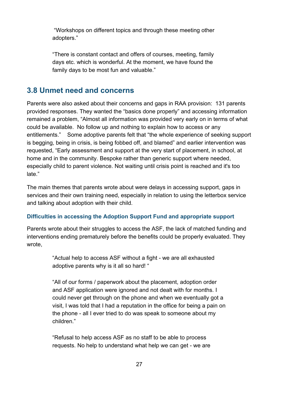"Workshops on different topics and through these meeting other adopters."

"There is constant contact and offers of courses, meeting, family days etc. which is wonderful. At the moment, we have found the family days to be most fun and valuable."

## <span id="page-26-0"></span>**3.8 Unmet need and concerns**

Parents were also asked about their concerns and gaps in RAA provision: 131 parents provided responses. They wanted the "basics done properly" and accessing information remained a problem, "Almost all information was provided very early on in terms of what could be available. No follow up and nothing to explain how to access or any entitlements." Some adoptive parents felt that "the whole experience of seeking support is begging, being in crisis, is being fobbed off, and blamed" and earlier intervention was requested, "Early assessment and support at the very start of placement, in school, at home and in the community. Bespoke rather than generic support where needed, especially child to parent violence. Not waiting until crisis point is reached and it's too late."

The main themes that parents wrote about were delays in accessing support, gaps in services and their own training need, especially in relation to using the letterbox service and talking about adoption with their child.

#### **Difficulties in accessing the Adoption Support Fund and appropriate support**

Parents wrote about their struggles to access the ASF, the lack of matched funding and interventions ending prematurely before the benefits could be properly evaluated. They wrote,

> "Actual help to access ASF without a fight - we are all exhausted adoptive parents why is it all so hard! "

"All of our forms / paperwork about the placement, adoption order and ASF application were ignored and not dealt with for months. I could never get through on the phone and when we eventually got a visit, I was told that I had a reputation in the office for being a pain on the phone - all I ever tried to do was speak to someone about my children."

"Refusal to help access ASF as no staff to be able to process requests. No help to understand what help we can get - we are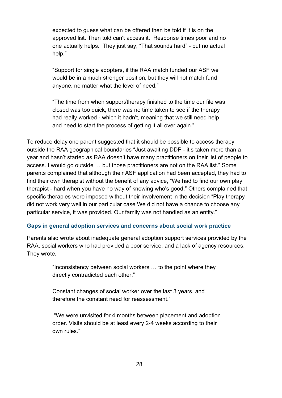expected to guess what can be offered then be told if it is on the approved list. Then told can't access it. Response times poor and no one actually helps. They just say, "That sounds hard" - but no actual help."

"Support for single adopters, if the RAA match funded our ASF we would be in a much stronger position, but they will not match fund anyone, no matter what the level of need."

"The time from when support/therapy finished to the time our file was closed was too quick, there was no time taken to see if the therapy had really worked - which it hadn't, meaning that we still need help and need to start the process of getting it all over again."

To reduce delay one parent suggested that it should be possible to access therapy outside the RAA geographical boundaries "Just awaiting DDP - it's taken more than a year and hasn't started as RAA doesn't have many practitioners on their list of people to access. I would go outside … but those practitioners are not on the RAA list." Some parents complained that although their ASF application had been accepted, they had to find their own therapist without the benefit of any advice, "We had to find our own play therapist - hard when you have no way of knowing who's good." Others complained that specific therapies were imposed without their involvement in the decision "Play therapy did not work very well in our particular case We did not have a chance to choose any particular service, it was provided. Our family was not handled as an entity."

#### **Gaps in general adoption services and concerns about social work practice**

Parents also wrote about inadequate general adoption support services provided by the RAA, social workers who had provided a poor service, and a lack of agency resources. They wrote,

> "Inconsistency between social workers … to the point where they directly contradicted each other."

Constant changes of social worker over the last 3 years, and therefore the constant need for reassessment."

"We were unvisited for 4 months between placement and adoption order. Visits should be at least every 2-4 weeks according to their own rules."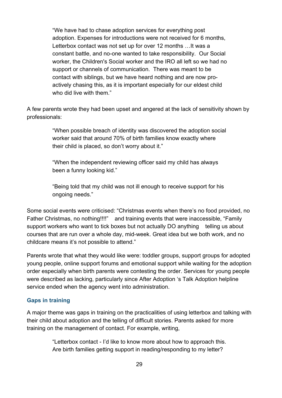"We have had to chase adoption services for everything post adoption. Expenses for introductions were not received for 6 months, Letterbox contact was not set up for over 12 months …It was a constant battle, and no-one wanted to take responsibility. Our Social worker, the Children's Social worker and the IRO all left so we had no support or channels of communication. There was meant to be contact with siblings, but we have heard nothing and are now proactively chasing this, as it is important especially for our eldest child who did live with them."

A few parents wrote they had been upset and angered at the lack of sensitivity shown by professionals:

> "When possible breach of identity was discovered the adoption social worker said that around 70% of birth families know exactly where their child is placed, so don't worry about it."

"When the independent reviewing officer said my child has always been a funny looking kid."

"Being told that my child was not ill enough to receive support for his ongoing needs."

Some social events were criticised: "Christmas events when there's no food provided, no Father Christmas, no nothing!!!!" and training events that were inaccessible, "Family support workers who want to tick boxes but not actually DO anything telling us about courses that are run over a whole day, mid-week. Great idea but we both work, and no childcare means it's not possible to attend."

Parents wrote that what they would like were: toddler groups, support groups for adopted young people, online support forums and emotional support while waiting for the adoption order especially when birth parents were contesting the order. Services for young people were described as lacking, particularly since After Adoption 's Talk Adoption helpline service ended when the agency went into administration.

#### **Gaps in training**

A major theme was gaps in training on the practicalities of using letterbox and talking with their child about adoption and the telling of difficult stories. Parents asked for more training on the management of contact. For example, writing,

> "Letterbox contact - I'd like to know more about how to approach this. Are birth families getting support in reading/responding to my letter?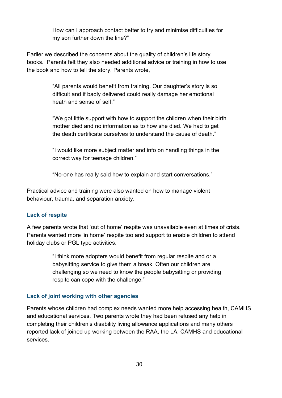How can I approach contact better to try and minimise difficulties for my son further down the line?"

Earlier we described the concerns about the quality of children's life story books. Parents felt they also needed additional advice or training in how to use the book and how to tell the story. Parents wrote,

> "All parents would benefit from training. Our daughter's story is so difficult and if badly delivered could really damage her emotional heath and sense of self."

"We got little support with how to support the children when their birth mother died and no information as to how she died. We had to get the death certificate ourselves to understand the cause of death."

"I would like more subject matter and info on handling things in the correct way for teenage children."

"No-one has really said how to explain and start conversations."

Practical advice and training were also wanted on how to manage violent behaviour, trauma, and separation anxiety.

#### **Lack of respite**

A few parents wrote that 'out of home' respite was unavailable even at times of crisis. Parents wanted more 'in home' respite too and support to enable children to attend holiday clubs or PGL type activities.

> "I think more adopters would benefit from regular respite and or a babysitting service to give them a break. Often our children are challenging so we need to know the people babysitting or providing respite can cope with the challenge."

#### **Lack of joint working with other agencies**

Parents whose children had complex needs wanted more help accessing health, CAMHS and educational services. Two parents wrote they had been refused any help in completing their children's disability living allowance applications and many others reported lack of joined up working between the RAA, the LA, CAMHS and educational services.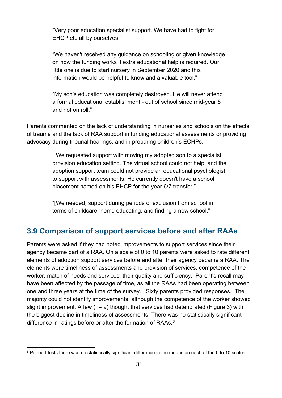"Very poor education specialist support. We have had to fight for EHCP etc all by ourselves."

"We haven't received any guidance on schooling or given knowledge on how the funding works if extra educational help is required. Our little one is due to start nursery in September 2020 and this information would be helpful to know and a valuable tool."

"My son's education was completely destroyed. He will never attend a formal educational establishment - out of school since mid-year 5 and not on roll."

Parents commented on the lack of understanding in nurseries and schools on the effects of trauma and the lack of RAA support in funding educational assessments or providing advocacy during tribunal hearings, and in preparing children's ECHPs.

> *"*We requested support with moving my adopted son to a specialist provision education setting. The virtual school could not help, and the adoption support team could not provide an educational psychologist to support with assessments. He currently doesn't have a school placement named on his EHCP for the year 6/7 transfer."

"[We needed] support during periods of exclusion from school in terms of childcare, home educating, and finding a new school."

## <span id="page-30-0"></span>**3.9 Comparison of support services before and after RAAs**

Parents were asked if they had noted improvements to support services since their agency became part of a RAA. On a scale of 0 to 10 parents were asked to rate different elements of adoption support services before and after their agency became a RAA. The elements were timeliness of assessments and provision of services, competence of the worker, match of needs and services, their quality and sufficiency. Parent's recall may have been affected by the passage of time, as all the RAAs had been operating between one and three years at the time of the survey. Sixty parents provided responses. The majority could not identify improvements, although the competence of the worker showed slight improvement. A few (n= 9) thought that services had deteriorated (Figure 3) with the biggest decline in timeliness of assessments. There was no statistically significant difference in ratings before or after the formation of RAAs. $^6$  $^6$ 

<span id="page-30-1"></span><sup>&</sup>lt;sup>6</sup> Paired t-tests there was no statistically significant difference in the means on each of the 0 to 10 scales.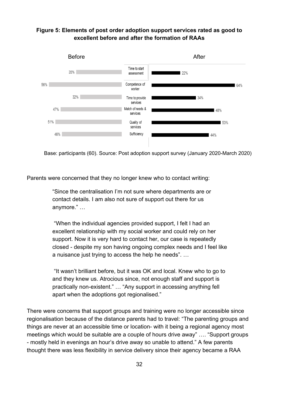#### **Figure 5: Elements of post order adoption support services rated as good to excellent before and after the formation of RAAs**



Base: participants (60). Source: Post adoption support survey (January 2020-March 2020)

Parents were concerned that they no longer knew who to contact writing:

"Since the centralisation I'm not sure where departments are or contact details. I am also not sure of support out there for us anymore." …

 "When the individual agencies provided support, I felt I had an excellent relationship with my social worker and could rely on her support. Now it is very hard to contact her, our case is repeatedly closed - despite my son having ongoing complex needs and I feel like a nuisance just trying to access the help he needs". …

"It wasn't brilliant before, but it was OK and local. Knew who to go to and they knew us. Atrocious since, not enough staff and support is practically non-existent." … "Any support in accessing anything fell apart when the adoptions got regionalised."

There were concerns that support groups and training were no longer accessible since regionalisation because of the distance parents had to travel: "The parenting groups and things are never at an accessible time or location- with it being a regional agency most meetings which would be suitable are a couple of hours drive away" …. "Support groups - mostly held in evenings an hour's drive away so unable to attend." A few parents thought there was less flexibility in service delivery since their agency became a RAA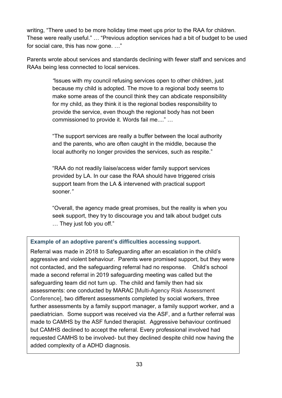writing, "There used to be more holiday time meet ups prior to the RAA for children. These were really useful." … "Previous adoption services had a bit of budget to be used for social care, this has now gone. …"

Parents wrote about services and standards declining with fewer staff and services and RAAs being less connected to local services.

> *"*Issues with my council refusing services open to other children, just because my child is adopted. The move to a regional body seems to make some areas of the council think they can abdicate responsibility for my child, as they think it is the regional bodies responsibility to provide the service, even though the regional body has not been commissioned to provide it. Words fail me...." …

"The support services are really a buffer between the local authority and the parents, who are often caught in the middle, because the local authority no longer provides the services, such as respite."

"RAA do not readily liaise/access wider family support services provided by LA. In our case the RAA should have triggered crisis support team from the LA & intervened with practical support sooner*."*

"Overall, the agency made great promises, but the reality is when you seek support, they try to discourage you and talk about budget cuts … They just fob you off."

## **Example of an adoptive parent's difficulties accessing support.**

Referral was made in 2018 to Safeguarding after an escalation in the child's aggressive and violent behaviour. Parents were promised support, but they were not contacted, and the safeguarding referral had no response. Child's school made a second referral in 2019 safeguarding meeting was called but the safeguarding team did not turn up. The child and family then had six assessments: one conducted by MARAC [Multi-Agency Risk Assessment Conference], two different assessments completed by social workers, three further assessments by a family support manager, a family support worker, and a paediatrician. Some support was received via the ASF, and a further referral was made to CAMHS by the ASF funded therapist. Aggressive behaviour continued but CAMHS declined to accept the referral. Every professional involved had requested CAMHS to be involved- but they declined despite child now having the added complexity of a ADHD diagnosis.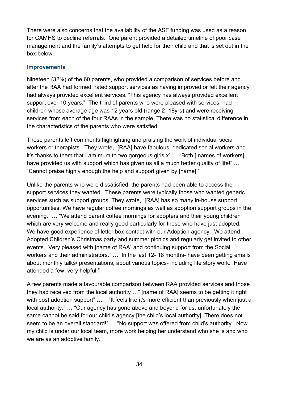There were also concerns that the availability of the ASF funding was used as a reason for CAMHS to decline referrals. One parent provided a detailed timeline of poor case management and the family's attempts to get help for their child and that is set out in the box below.

#### **Improvements**

Nineteen (32%) of the 60 parents, who provided a comparison of services before and after the RAA had formed, rated support services as having improved or felt their agency had always provided excellent services. "This agency has always provided excellent support over 10 years." The third of parents who were pleased with services, had children whose average age was 12 years old (range 2- 18yrs) and were receiving services from each of the four RAAs in the sample. There was no statistical difference in the characteristics of the parents who were satisfied.

These parents left comments highlighting and praising the work of individual social workers or therapists. They wrote, "[RAA] have fabulous, dedicated social workers and it's thanks to them that I am mum to two gorgeous girls x" … "Both [ names of workers] have provided us with support which has given us all a much better quality of life!" … "Cannot praise highly enough the help and support given by [name]."

Unlike the parents who were dissatisfied, the parents had been able to access the support services they wanted. These parents were typically those who wanted generic services such as support groups. They wrote, "[RAA] has so many in-house support opportunities. We have regular coffee mornings as well as adoption support groups in the evening." … "We attend parent coffee mornings for adopters and their young children which are very welcome and really good particularly for those who have just adopted. We have good experience of letter box contact with our Adoption agency. We attend Adopted Children's Christmas party and summer picnics and regularly get invited to other events. Very pleased with [name of RAA] and continuing support from the Social workers and their administrators." … In the last 12- 18 months- have been getting emails about monthly talks/ presentations, about various topics- including life story work. Have attended a few, very helpful."

A few parents made a favourable comparison between RAA provided services and those they had received from the local authority …" [name of RAA] seems to be getting it right with post adoption support" .... "It feels like it's more efficient than previously when just a local authority." … "Our agency has gone above and beyond for us, unfortunately the same cannot be said for our child's agency [the child's local authority]. There does not seem to be an overall standard!" … "No support was offered from child's authority. Now my child is under our local team, more work helping her understand who she is and who we are as an adoptive family."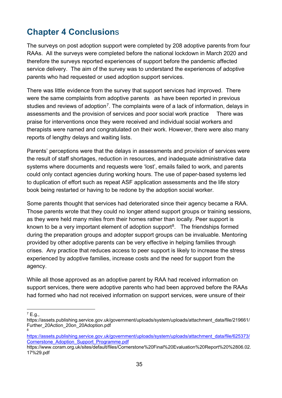# <span id="page-34-0"></span>**Chapter 4 Conclusion**s

The surveys on post adoption support were completed by 208 adoptive parents from four RAAs. All the surveys were completed before the national lockdown in March 2020 and therefore the surveys reported experiences of support before the pandemic affected service delivery. The aim of the survey was to understand the experiences of adoptive parents who had requested or used adoption support services.

There was little evidence from the survey that support services had improved. There were the same complaints from adoptive parents as have been reported in previous studies and reviews of adoption<sup>7</sup>. The complaints were of a lack of information, delays in assessments and the provision of services and poor social work practice There was praise for interventions once they were received and individual social workers and therapists were named and congratulated on their work. However, there were also many reports of lengthy delays and waiting lists.

Parents' perceptions were that the delays in assessments and provision of services were the result of staff shortages, reduction in resources, and inadequate administrative data systems where documents and requests were 'lost', emails failed to work, and parents could only contact agencies during working hours. The use of paper-based systems led to duplication of effort such as repeat ASF application assessments and the life story book being restarted or having to be redone by the adoption social worker.

Some parents thought that services had deteriorated since their agency became a RAA. Those parents wrote that they could no longer attend support groups or training sessions, as they were held many miles from their homes rather than locally. Peer support is known to be a very important element of adoption support<sup>8</sup>. The friendships formed during the preparation groups and adopter support groups can be invaluable. Mentoring provided by other adoptive parents can be very effective in helping families through crises. Any practice that reduces access to peer support is likely to increase the stress experienced by adoptive families, increase costs and the need for support from the agency.

While all those approved as an adoptive parent by RAA had received information on support services, there were adoptive parents who had been approved before the RAAs had formed who had not received information on support services, were unsure of their

<span id="page-34-1"></span> $7$  E.g.,

https://assets.publishing.service.gov.uk/government/uploads/system/uploads/attachment\_data/file/219661/ Further\_20Action\_20on\_20Adoption.pdf 8

<span id="page-34-2"></span>[https://assets.publishing.service.gov.uk/government/uploads/system/uploads/attachment\\_data/file/625373/](https://assets.publishing.service.gov.uk/government/uploads/system/uploads/attachment_data/file/625373/Cornerstone_Adoption_Support_Programme.pdf) [Cornerstone\\_Adoption\\_Support\\_Programme.pdf](https://assets.publishing.service.gov.uk/government/uploads/system/uploads/attachment_data/file/625373/Cornerstone_Adoption_Support_Programme.pdf)

https://www.coram.org.uk/sites/default/files/Cornerstone%20Final%20Evaluation%20Report%20%2806.02. 17%29.pdf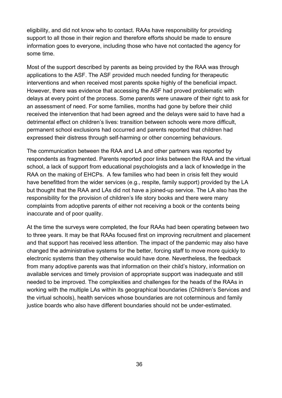eligibility, and did not know who to contact. RAAs have responsibility for providing support to all those in their region and therefore efforts should be made to ensure information goes to everyone, including those who have not contacted the agency for some time.

Most of the support described by parents as being provided by the RAA was through applications to the ASF. The ASF provided much needed funding for therapeutic interventions and when received most parents spoke highly of the beneficial impact. However, there was evidence that accessing the ASF had proved problematic with delays at every point of the process. Some parents were unaware of their right to ask for an assessment of need. For some families, months had gone by before their child received the intervention that had been agreed and the delays were said to have had a detrimental effect on children's lives: transition between schools were more difficult, permanent school exclusions had occurred and parents reported that children had expressed their distress through self-harming or other concerning behaviours.

The communication between the RAA and LA and other partners was reported by respondents as fragmented. Parents reported poor links between the RAA and the virtual school, a lack of support from educational psychologists and a lack of knowledge in the RAA on the making of EHCPs. A few families who had been in crisis felt they would have benefitted from the wider services (e.g., respite, family support) provided by the LA but thought that the RAA and LAs did not have a joined-up service. The LA also has the responsibility for the provision of children's life story books and there were many complaints from adoptive parents of either not receiving a book or the contents being inaccurate and of poor quality.

At the time the surveys were completed, the four RAAs had been operating between two to three years. It may be that RAAs focused first on improving recruitment and placement and that support has received less attention. The impact of the pandemic may also have changed the administrative systems for the better, forcing staff to move more quickly to electronic systems than they otherwise would have done. Nevertheless, the feedback from many adoptive parents was that information on their child's history, information on available services and timely provision of appropriate support was inadequate and still needed to be improved. The complexities and challenges for the heads of the RAAs in working with the multiple LAs within its geographical boundaries (Children's Services and the virtual schools), health services whose boundaries are not coterminous and family justice boards who also have different boundaries should not be under-estimated.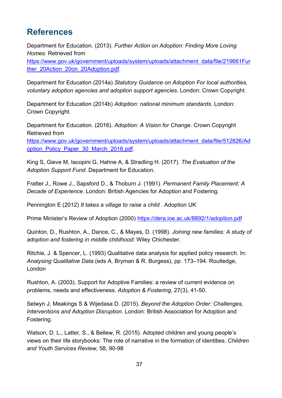# <span id="page-36-0"></span>**References**

Department for Education. (2013). *Further Action on Adoption: Finding More Loving Homes.* Retrieved from

[https://www.gov.uk/government/uploads/system/uploads/attachment\\_data/file/219661Fur](https://www.gov.uk/government/uploads/system/uploads/attachment_data/file/219661Further_20Action_20on_20Adoption.pdf) ther\_20Action\_20on\_20Adoption.pdf

Department for Education (2014a) *Statutory Guidance on Adoption For local authorities, voluntary adoption agencies and adoption support agencies*. London: Crown Copyright.

Department for Education (2014b) *Adoption: national minimum standards*. London: Crown Copyright.

Department for Education. (2016). *Adoption: A Vision for Change*. Crown Copyright Retrieved from [https://www.gov.uk/government/uploads/system/uploads/attachment\\_data/file/512826/Ad](https://www.gov.uk/government/uploads/system/uploads/attachment_data/file/512826/Adoption_Policy_Paper_30_March_2016.pdf) [option\\_Policy\\_Paper\\_30\\_March\\_2016.pdf.](https://www.gov.uk/government/uploads/system/uploads/attachment_data/file/512826/Adoption_Policy_Paper_30_March_2016.pdf)

King S, Gieve M, Iacopini G, Hahne A, & Stradling H. (2017). *The Evaluation of the Adoption Support Fund*. Department for Education.

Fratter J., Rowe J., Sapsford D., & Thoburn J. (1991). *Permanent Family Placement: A Decade of Experience*. London: British Agencies for Adoption and Fostering.

Pennington E (2012) *It takes a village to raise a child* . Adoption UK

Prime Minister's Review of Adoption (2000)<https://dera.ioe.ac.uk/8892/1/adoption.pdf>

Quinton, D., Rushton, A., Dance, C., & Mayes, D. (1998). *Joining new families: A study of adoption and fostering in middle childhood:* Wiley Chichester.

Ritchie, J. & Spencer, L. (1993) Qualitative data analysis for applied policy research. In: *Analysing Qualitative Data* (eds A. Bryman & R. Burgess), pp. 173–194. Routledge, London

Rushton, A. (2003). Support for Adoptive Families: a review of current evidence on problems, needs and effectiveness. *Adoption & Fostering*, 27(3), 41-50.

Selwyn J, Meakings S & Wijedasa D. (2015). *Beyond the Adoption Order: Challenges, Interventions and Adoption Disruption*. London: British Association for Adoption and Fostering.

Watson, D. L., Latter, S., & Bellew, R. (2015). Adopted children and young people's views on their life storybooks: The role of narrative in the formation of identities. *Children and Youth Services Review,* 58, 90-98